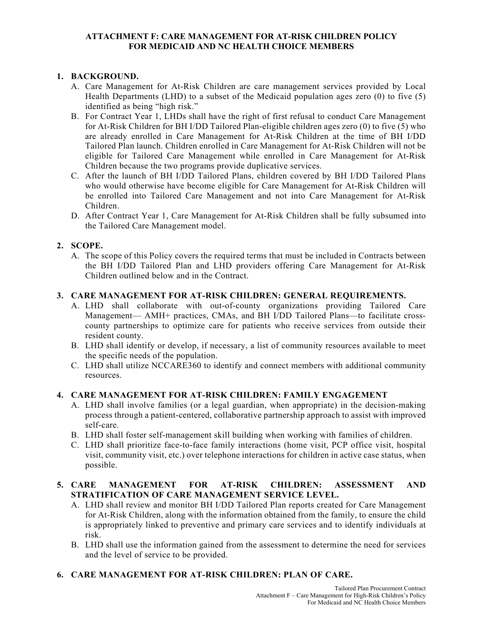#### **ATTACHMENT F: CARE MANAGEMENT FOR AT-RISK CHILDREN POLICY FOR MEDICAID AND NC HEALTH CHOICE MEMBERS**

### **1. BACKGROUND.**

- A. Care Management for At-Risk Children are care management services provided by Local Health Departments (LHD) to a subset of the Medicaid population ages zero (0) to five (5) identified as being "high risk."
- B. For Contract Year 1, LHDs shall have the right of first refusal to conduct Care Management for At-Risk Children for BH I/DD Tailored Plan-eligible children ages zero (0) to five (5) who are already enrolled in Care Management for At-Risk Children at the time of BH I/DD Tailored Plan launch. Children enrolled in Care Management for At-Risk Children will not be eligible for Tailored Care Management while enrolled in Care Management for At-Risk Children because the two programs provide duplicative services.
- C. After the launch of BH I/DD Tailored Plans, children covered by BH I/DD Tailored Plans who would otherwise have become eligible for Care Management for At-Risk Children will be enrolled into Tailored Care Management and not into Care Management for At-Risk Children.
- D. After Contract Year 1, Care Management for At-Risk Children shall be fully subsumed into the Tailored Care Management model.

## **2. SCOPE.**

A. The scope of this Policy covers the required terms that must be included in Contracts between the BH I/DD Tailored Plan and LHD providers offering Care Management for At-Risk Children outlined below and in the Contract.

### **3. CARE MANAGEMENT FOR AT-RISK CHILDREN: GENERAL REQUIREMENTS.**

- A. LHD shall collaborate with out-of-county organizations providing Tailored Care Management— AMH+ practices, CMAs, and BH I/DD Tailored Plans—to facilitate crosscounty partnerships to optimize care for patients who receive services from outside their resident county.
- B. LHD shall identify or develop, if necessary, a list of community resources available to meet the specific needs of the population.
- C. LHD shall utilize NCCARE360 to identify and connect members with additional community resources.

### **4. CARE MANAGEMENT FOR AT-RISK CHILDREN: FAMILY ENGAGEMENT**

- A. LHD shall involve families (or a legal guardian, when appropriate) in the decision-making process through a patient-centered, collaborative partnership approach to assist with improved self-care.
- B. LHD shall foster self-management skill building when working with families of children.
- C. LHD shall prioritize face-to-face family interactions (home visit, PCP office visit, hospital visit, community visit, etc.) over telephone interactions for children in active case status, when possible.

### **5. CARE MANAGEMENT FOR AT-RISK CHILDREN: ASSESSMENT AND STRATIFICATION OF CARE MANAGEMENT SERVICE LEVEL.**

- A. LHD shall review and monitor BH I/DD Tailored Plan reports created for Care Management for At-Risk Children, along with the information obtained from the family, to ensure the child is appropriately linked to preventive and primary care services and to identify individuals at risk.
- B. LHD shall use the information gained from the assessment to determine the need for services and the level of service to be provided.

# **6. CARE MANAGEMENT FOR AT-RISK CHILDREN: PLAN OF CARE.**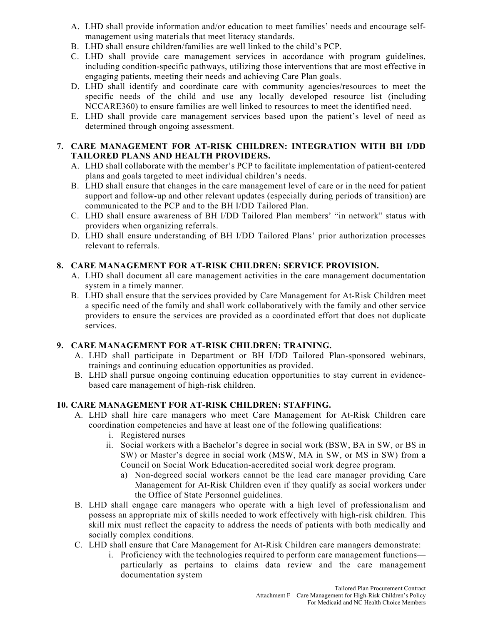- A. LHD shall provide information and/or education to meet families' needs and encourage selfmanagement using materials that meet literacy standards.
- B. LHD shall ensure children/families are well linked to the child's PCP.
- C. LHD shall provide care management services in accordance with program guidelines, including condition-specific pathways, utilizing those interventions that are most effective in engaging patients, meeting their needs and achieving Care Plan goals.
- D. LHD shall identify and coordinate care with community agencies/resources to meet the specific needs of the child and use any locally developed resource list (including NCCARE360) to ensure families are well linked to resources to meet the identified need.
- E. LHD shall provide care management services based upon the patient's level of need as determined through ongoing assessment.

### **7. CARE MANAGEMENT FOR AT-RISK CHILDREN: INTEGRATION WITH BH I/DD TAILORED PLANS AND HEALTH PROVIDERS.**

- A. LHD shall collaborate with the member's PCP to facilitate implementation of patient-centered plans and goals targeted to meet individual children's needs.
- B. LHD shall ensure that changes in the care management level of care or in the need for patient support and follow-up and other relevant updates (especially during periods of transition) are communicated to the PCP and to the BH I/DD Tailored Plan.
- C. LHD shall ensure awareness of BH I/DD Tailored Plan members' "in network" status with providers when organizing referrals.
- D. LHD shall ensure understanding of BH I/DD Tailored Plans' prior authorization processes relevant to referrals.

### **8. CARE MANAGEMENT FOR AT-RISK CHILDREN: SERVICE PROVISION.**

- A. LHD shall document all care management activities in the care management documentation system in a timely manner.
- B. LHD shall ensure that the services provided by Care Management for At-Risk Children meet a specific need of the family and shall work collaboratively with the family and other service providers to ensure the services are provided as a coordinated effort that does not duplicate services.

### **9. CARE MANAGEMENT FOR AT-RISK CHILDREN: TRAINING.**

- A. LHD shall participate in Department or BH I/DD Tailored Plan-sponsored webinars, trainings and continuing education opportunities as provided.
- B. LHD shall pursue ongoing continuing education opportunities to stay current in evidencebased care management of high-risk children.

### **10. CARE MANAGEMENT FOR AT-RISK CHILDREN: STAFFING.**

- A. LHD shall hire care managers who meet Care Management for At-Risk Children care coordination competencies and have at least one of the following qualifications:
	- i. Registered nurses
	- ii. Social workers with a Bachelor's degree in social work (BSW, BA in SW, or BS in SW) or Master's degree in social work (MSW, MA in SW, or MS in SW) from a Council on Social Work Education-accredited social work degree program.
		- a) Non-degreed social workers cannot be the lead care manager providing Care Management for At-Risk Children even if they qualify as social workers under the Office of State Personnel guidelines.
- B. LHD shall engage care managers who operate with a high level of professionalism and possess an appropriate mix of skills needed to work effectively with high-risk children. This skill mix must reflect the capacity to address the needs of patients with both medically and socially complex conditions.
- C. LHD shall ensure that Care Management for At-Risk Children care managers demonstrate:
	- i. Proficiency with the technologies required to perform care management functions particularly as pertains to claims data review and the care management documentation system